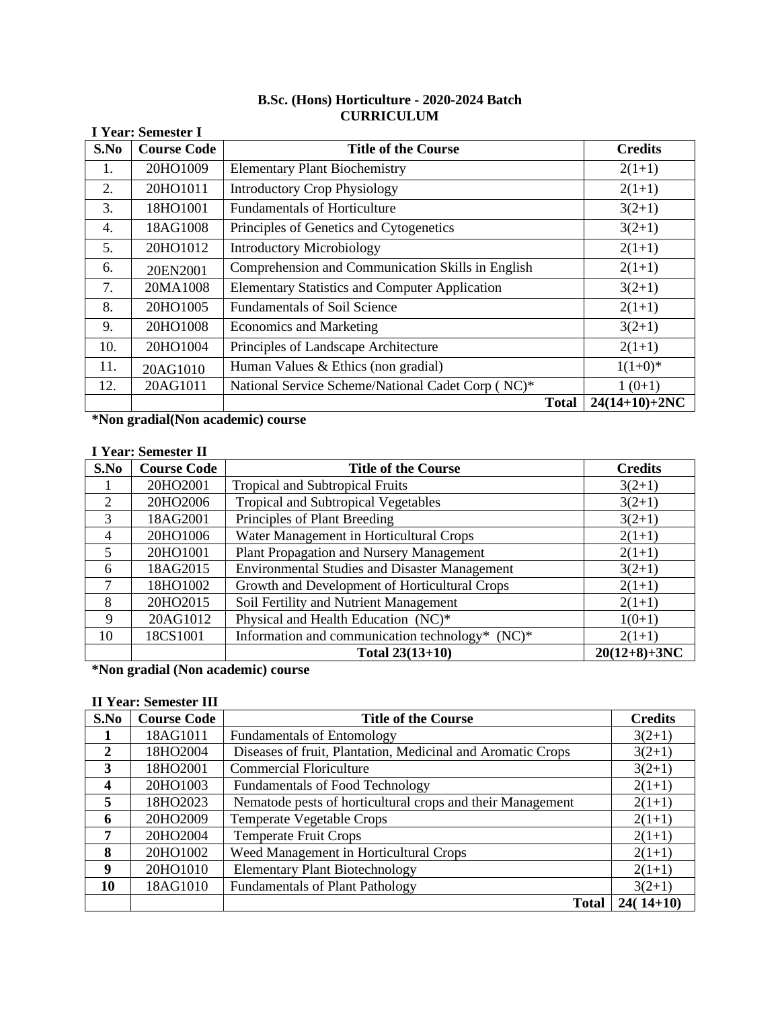# **B.Sc. (Hons) Horticulture - 2020-2024 Batch CURRICULUM**

|      | <b>I Year: Semester I</b> |                                                       |                 |
|------|---------------------------|-------------------------------------------------------|-----------------|
| S.No | <b>Course Code</b>        | <b>Title of the Course</b>                            | <b>Credits</b>  |
| 1.   | 20HO1009                  | <b>Elementary Plant Biochemistry</b>                  | $2(1+1)$        |
| 2.   | 20HO1011                  | <b>Introductory Crop Physiology</b>                   | $2(1+1)$        |
| 3.   | 18HO1001                  | <b>Fundamentals of Horticulture</b>                   | $3(2+1)$        |
| 4.   | 18AG1008                  | Principles of Genetics and Cytogenetics               | $3(2+1)$        |
| 5.   | 20HO1012                  | <b>Introductory Microbiology</b>                      | $2(1+1)$        |
| 6.   | 20EN2001                  | Comprehension and Communication Skills in English     | $2(1+1)$        |
| 7.   | 20MA1008                  | <b>Elementary Statistics and Computer Application</b> | $3(2+1)$        |
| 8.   | 20HO1005                  | <b>Fundamentals of Soil Science</b>                   | $2(1+1)$        |
| 9.   | 20HO1008                  | <b>Economics and Marketing</b>                        | $3(2+1)$        |
| 10.  | 20HO1004                  | Principles of Landscape Architecture                  | $2(1+1)$        |
| 11.  | 20AG1010                  | Human Values & Ethics (non gradial)                   | $1(1+0)*$       |
| 12.  | 20AG1011                  | National Service Scheme/National Cadet Corp (NC)*     | $1(0+1)$        |
|      |                           | <b>Total</b>                                          | $24(14+10)+2NC$ |

**\*Non gradial(Non academic) course**

### **I Year: Semester II**

| S.No           | <b>Course Code</b> | <b>Title of the Course</b>                           | <b>Credits</b> |
|----------------|--------------------|------------------------------------------------------|----------------|
|                | 20HO2001           | <b>Tropical and Subtropical Fruits</b>               | $3(2+1)$       |
| 2              | 20HO2006           | <b>Tropical and Subtropical Vegetables</b>           | $3(2+1)$       |
| $\mathcal{R}$  | 18AG2001           | Principles of Plant Breeding                         | $3(2+1)$       |
| $\overline{4}$ | 20HO1006           | Water Management in Horticultural Crops              | $2(1+1)$       |
| 5              | 20HO1001           | Plant Propagation and Nursery Management             | $2(1+1)$       |
| 6              | 18AG2015           | <b>Environmental Studies and Disaster Management</b> | $3(2+1)$       |
| 7              | 18HO1002           | Growth and Development of Horticultural Crops        | $2(1+1)$       |
| 8              | 20HO2015           | Soil Fertility and Nutrient Management               | $2(1+1)$       |
| 9              | 20AG1012           | Physical and Health Education (NC)*                  | $1(0+1)$       |
| 10             | 18CS1001           | Information and communication technology* (NC)*      | $2(1+1)$       |
|                |                    | Total $23(13+10)$                                    | $20(12+8)+3NC$ |

**\*Non gradial (Non academic) course**

## **II Year: Semester III**

| S.No                    | <b>Course Code</b>                                 | <b>Title of the Course</b>                                  | <b>Credits</b> |
|-------------------------|----------------------------------------------------|-------------------------------------------------------------|----------------|
|                         | 18AG1011                                           | <b>Fundamentals of Entomology</b>                           | $3(2+1)$       |
| $\overline{2}$          | 18HO2004                                           | Diseases of fruit, Plantation, Medicinal and Aromatic Crops | $3(2+1)$       |
| 3                       | 18HO2001                                           | <b>Commercial Floriculture</b>                              | $3(2+1)$       |
| $\overline{\mathbf{4}}$ | 20HO1003                                           | <b>Fundamentals of Food Technology</b>                      | $2(1+1)$       |
| 5                       | 18HO2023                                           | Nematode pests of horticultural crops and their Management  |                |
| 6                       | 20HO2009                                           | <b>Temperate Vegetable Crops</b>                            |                |
| 7                       | 20HO2004                                           | <b>Temperate Fruit Crops</b>                                |                |
| 8                       | 20HO1002                                           | Weed Management in Horticultural Crops                      |                |
| -9                      | <b>Elementary Plant Biotechnology</b><br>20HO1010  |                                                             | $2(1+1)$       |
| 10                      | 18AG1010<br><b>Fundamentals of Plant Pathology</b> |                                                             | $3(2+1)$       |
|                         |                                                    | <b>Total</b>                                                | $24(14+10)$    |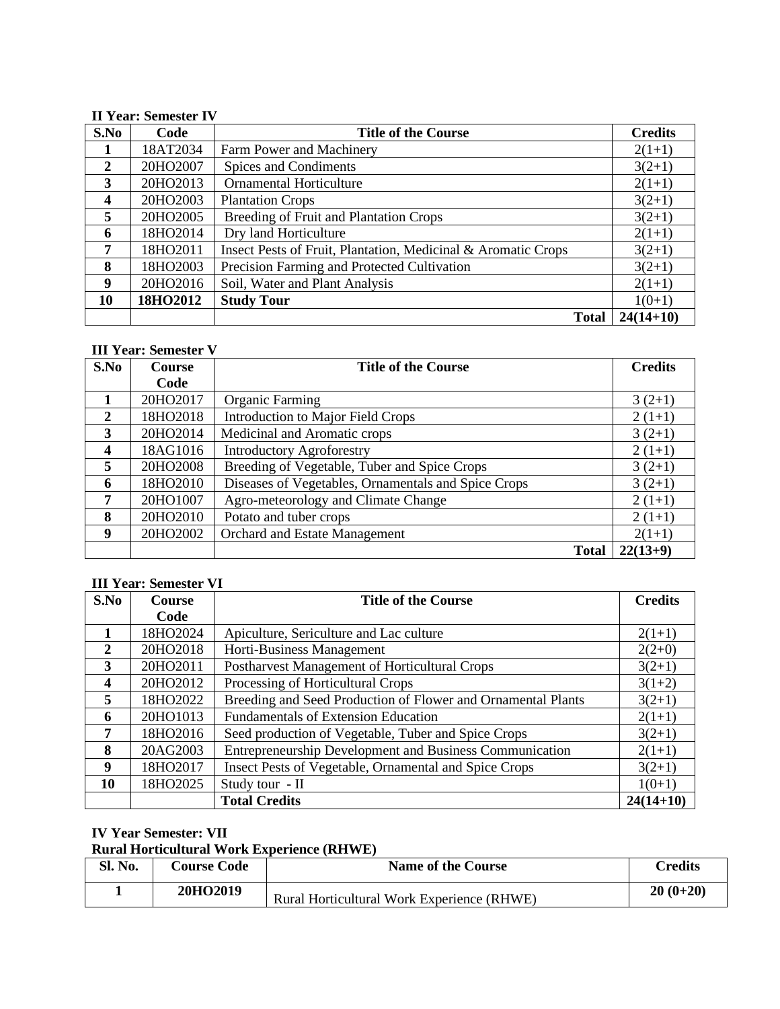### **II Year: Semester IV**

| S.No                    | Code     | <b>Title of the Course</b>                                    | <b>Credits</b> |
|-------------------------|----------|---------------------------------------------------------------|----------------|
|                         | 18AT2034 | Farm Power and Machinery                                      | $2(1+1)$       |
| 2                       | 20HO2007 | Spices and Condiments                                         | $3(2+1)$       |
| 3                       | 20HO2013 | <b>Ornamental Horticulture</b>                                | $2(1+1)$       |
| $\overline{\mathbf{4}}$ | 20HO2003 | <b>Plantation Crops</b>                                       | $3(2+1)$       |
| 5                       | 20HO2005 | Breeding of Fruit and Plantation Crops                        | $3(2+1)$       |
| 6                       | 18HO2014 | Dry land Horticulture                                         | $2(1+1)$       |
| 7                       | 18HO2011 | Insect Pests of Fruit, Plantation, Medicinal & Aromatic Crops | $3(2+1)$       |
| 8                       | 18HO2003 | Precision Farming and Protected Cultivation                   | $3(2+1)$       |
| 9                       | 20HO2016 | Soil, Water and Plant Analysis                                | $2(1+1)$       |
| 10                      | 18HO2012 | <b>Study Tour</b>                                             | $1(0+1)$       |
|                         |          | <b>Total</b>                                                  | $24(14+10)$    |

## **III Year: Semester V**

| S.No                    | Course                                                          | <b>Title of the Course</b>                   | <b>Credits</b> |
|-------------------------|-----------------------------------------------------------------|----------------------------------------------|----------------|
|                         | Code                                                            |                                              |                |
|                         | 20HO2017                                                        | <b>Organic Farming</b>                       | $3(2+1)$       |
| $\overline{2}$          | 18HO2018                                                        | Introduction to Major Field Crops            | $2(1+1)$       |
| 3                       | 20HO2014                                                        | Medicinal and Aromatic crops                 | $3(2+1)$       |
| $\overline{\mathbf{4}}$ | 18AG1016                                                        | <b>Introductory Agroforestry</b>             |                |
| 5                       | 20HO2008                                                        | Breeding of Vegetable, Tuber and Spice Crops |                |
| 6                       | Diseases of Vegetables, Ornamentals and Spice Crops<br>18HO2010 |                                              | $3(2+1)$       |
| 7                       | 20HO1007                                                        | Agro-meteorology and Climate Change          |                |
| 8                       | 20HO2010<br>Potato and tuber crops                              |                                              | $2(1+1)$       |
| 9                       | 20HO2002                                                        | <b>Orchard and Estate Management</b>         | $2(1+1)$       |
|                         |                                                                 | <b>Total</b>                                 | $22(13+9)$     |

# **III Year: Semester VI**

| S.No             | <b>Course</b> | <b>Title of the Course</b>                                   | <b>Credits</b> |
|------------------|---------------|--------------------------------------------------------------|----------------|
|                  | Code          |                                                              |                |
|                  | 18HO2024      | Apiculture, Sericulture and Lac culture                      | $2(1+1)$       |
| $\mathbf{2}$     | 20HO2018      | Horti-Business Management                                    | $2(2+0)$       |
| 3                | 20HO2011      | Postharvest Management of Horticultural Crops                | $3(2+1)$       |
| $\boldsymbol{4}$ | 20HO2012      | Processing of Horticultural Crops                            | $3(1+2)$       |
| 5                | 18HO2022      | Breeding and Seed Production of Flower and Ornamental Plants | $3(2+1)$       |
| 6                | 20HO1013      | <b>Fundamentals of Extension Education</b>                   | $2(1+1)$       |
| 7                | 18HO2016      | Seed production of Vegetable, Tuber and Spice Crops          | $3(2+1)$       |
| 8                | 20AG2003      | Entrepreneurship Development and Business Communication      | $2(1+1)$       |
| 9                | 18HO2017      | Insect Pests of Vegetable, Ornamental and Spice Crops        |                |
| 10               | 18HO2025      | Study tour - II                                              | $1(0+1)$       |
|                  |               | <b>Total Credits</b>                                         | $24(14+10)$    |

### **IV Year Semester: VII**

## **Rural Horticultural Work Experience (RHWE)**

| Sl. No. | <b>Course Code</b> | <b>Name of the Course</b>                  | <b>Tredits</b> |
|---------|--------------------|--------------------------------------------|----------------|
|         | 20HO2019           | Rural Horticultural Work Experience (RHWE) | $20(0+20)$     |